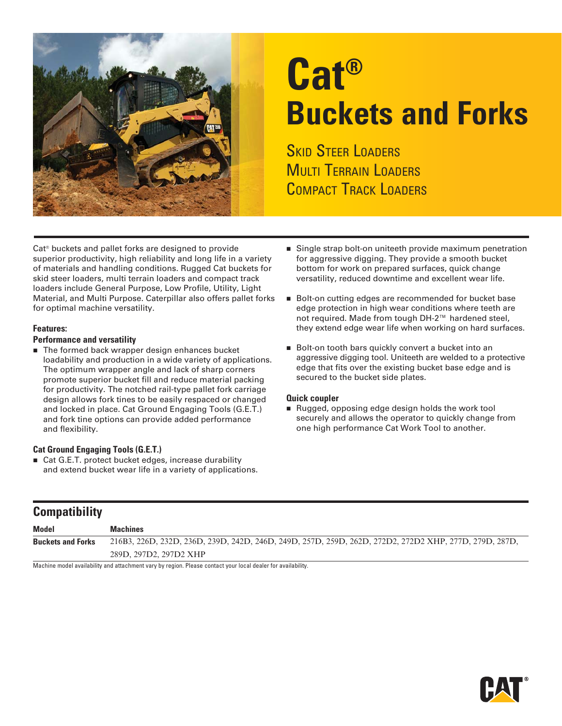

# **Cat® Buckets and Forks**

**SKID STEER LOADERS MULTI TERRAIN LOADERS** COMPACT TRACK LOADERS

Cat® buckets and pallet forks are designed to provide superior productivity, high reliability and long life in a variety of materials and handling conditions. Rugged Cat buckets for skid steer loaders, multi terrain loaders and compact track loaders include General Purpose, Low Profile, Utility, Light Material, and Multi Purpose. Caterpillar also offers pallet forks for optimal machine versatility.

### **Features:**

### **Performance and versatility**

■ The formed back wrapper design enhances bucket loadability and production in a wide variety of applications. The optimum wrapper angle and lack of sharp corners promote superior bucket fill and reduce material packing for productivity. The notched rail-type pallet fork carriage design allows fork tines to be easily respaced or changed and locked in place. Cat Ground Engaging Tools (G.E.T.) and fork tine options can provide added performance and flexibility.

## **Cat Ground Engaging Tools (G.E.T.)**

**Compatibility**

■ Cat G.E.T. protect bucket edges, increase durability and extend bucket wear life in a variety of applications.

- Single strap bolt-on uniteeth provide maximum penetration for aggressive digging. They provide a smooth bucket bottom for work on prepared surfaces, quick change versatility, reduced downtime and excellent wear life.
- Bolt-on cutting edges are recommended for bucket base edge protection in high wear conditions where teeth are not required. Made from tough DH-2™ hardened steel, they extend edge wear life when working on hard surfaces.
- Bolt-on tooth bars quickly convert a bucket into an aggressive digging tool. Uniteeth are welded to a protective edge that fits over the existing bucket base edge and is secured to the bucket side plates.

## **Quick coupler**

Rugged, opposing edge design holds the work tool securely and allows the operator to quickly change from one high performance Cat Work Tool to another.

| <b>COMPANDING</b>        |                                                                                                                                                                                                                                            |
|--------------------------|--------------------------------------------------------------------------------------------------------------------------------------------------------------------------------------------------------------------------------------------|
| <b>Model</b>             | <b>Machines</b>                                                                                                                                                                                                                            |
| <b>Buckets and Forks</b> | 216B3, 226D, 232D, 236D, 239D, 242D, 246D, 249D, 257D, 259D, 262D, 272D2, 272D2 XHP, 277D, 279D, 287D,                                                                                                                                     |
|                          | 289D, 297D2, 297D2 XHP                                                                                                                                                                                                                     |
| .                        | $\mathbf{u}$ and $\mathbf{u}$ are a set of the contract of the contract of the contract of the contract of the contract of the contract of the contract of the contract of the contract of the contract of the contract of the contra<br>. |

Machine model availability and attachment vary by region. Please contact your local dealer for availability.

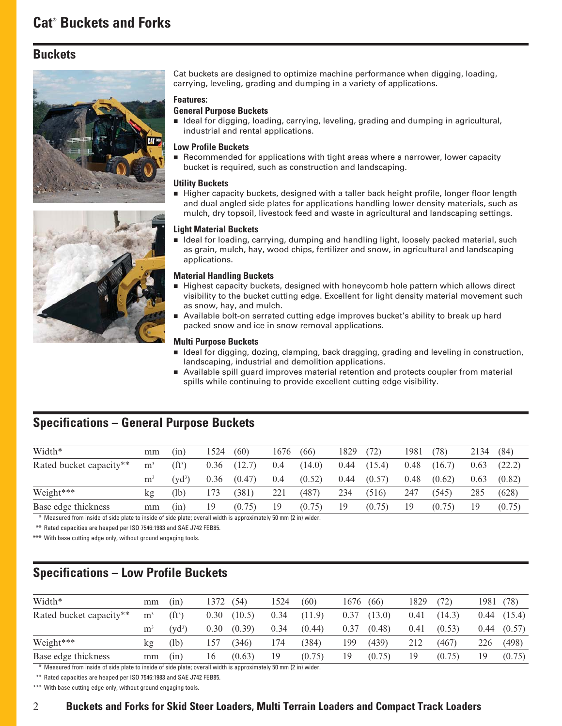# **Buckets**





Cat buckets are designed to optimize machine performance when digging, loading, carrying, leveling, grading and dumping in a variety of applications.

### **Features:**

## **General Purpose Buckets**

Ideal for digging, loading, carrying, leveling, grading and dumping in agricultural, industrial and rental applications.

### **Low Profile Buckets**

Recommended for applications with tight areas where a narrower, lower capacity bucket is required, such as construction and landscaping.

## **Utility Buckets**

**Higher capacity buckets, designed with a taller back height profile, longer floor length** and dual angled side plates for applications handling lower density materials, such as mulch, dry topsoil, livestock feed and waste in agricultural and landscaping settings.

#### **Light Material Buckets**

I deal for loading, carrying, dumping and handling light, loosely packed material, such as grain, mulch, hay, wood chips, fertilizer and snow, in agricultural and landscaping applications.

#### **Material Handling Buckets**

- Highest capacity buckets, designed with honeycomb hole pattern which allows direct visibility to the bucket cutting edge. Excellent for light density material movement such as snow, hay, and mulch.
- Available bolt-on serrated cutting edge improves bucket's ability to break up hard packed snow and ice in snow removal applications.

#### **Multi Purpose Buckets**

- Ideal for digging, dozing, clamping, back dragging, grading and leveling in construction, landscaping, industrial and demolition applications.
- Available spill guard improves material retention and protects coupler from material spills while continuing to provide excellent cutting edge visibility.

# **Specifications – General Purpose Buckets**

| Width*                  | mm             | (1n)      | 1524 | (60)   | 1676 | (66)   | 1829 | (72)   | 1981 | 78)    | 2134 | (84)   |
|-------------------------|----------------|-----------|------|--------|------|--------|------|--------|------|--------|------|--------|
| Rated bucket capacity** | m <sup>3</sup> | $(f t^3)$ | 0.36 | (12.7) | 0.4  | (14.0) | 0.44 | (15.4) | 0.48 | (16.7) | 0.63 | (22.2) |
|                         | m              | $(vd^3)$  | 0.36 | (0.47) | 0.4  | (0.52) | 0.44 | (0.57) | 0.48 | (0.62) | 0.63 | (0.82) |
| Weight***               | kg             | (lb)      | 173  | (381)  | 221  | (487)  | 234  | (516)  | 247  | (545)  | 285  | (628)  |
| Base edge thickness     | mm             | (nn)      | 19   | (0.75) | 19   | (0.75) | 19   | (0.75) | 19   | (0.75) | 19   | (0.75) |

\*\*\* Measured from inside of side plate to inside of side plate; overall width is approximately 50 mm (2 in) wider.

\*\*\* Rated capacities are heaped per ISO 7546:1983 and SAE J742 FEB85.

\*\*\* With base cutting edge only, without ground engaging tools.

# **Specifications – Low Profile Buckets**

| mm             | (1n)      | 372  | (54)   | 1524 | (60)   | 1676                                                            | (66)   | 1829 | (72)   | 1981 | (78)   |
|----------------|-----------|------|--------|------|--------|-----------------------------------------------------------------|--------|------|--------|------|--------|
| m <sup>3</sup> | $(f t^3)$ | 0.30 | (10.5) | 0.34 | (11.9) | 0.37                                                            | (13.0) | 0.41 | (14.3) | 0.44 | (15.4) |
| m              | $(vd^3)$  | 0.30 | (0.39) | 0.34 | (0.44) | 0.37                                                            | (0.48) | 0.41 | (0.53) | 0.44 | (0.57) |
| kg             | (lb)      | 157  | (346)  | 174  | (384)  | 199                                                             | (439)  | 212  | (467)  | 226  | (498)  |
| mm             | (nn)      | 16   | (0.63) | 19   | (0.75) | 19                                                              | (0.75) | 19   | (0.75) | 19   | (0.75) |
|                |           | .    |        |      |        | $\sim$ $\sim$ $\sim$ $\sim$ $\sim$<br>$\sim$ $\sim$ $\sim$<br>. |        |      |        |      |        |

\*\*\* Measured from inside of side plate to inside of side plate; overall width is approximately 50 mm (2 in) wider.

\*\*\* Rated capacities are heaped per ISO 7546:1983 and SAE J742 FEB85.

\*\*\* With base cutting edge only, without ground engaging tools.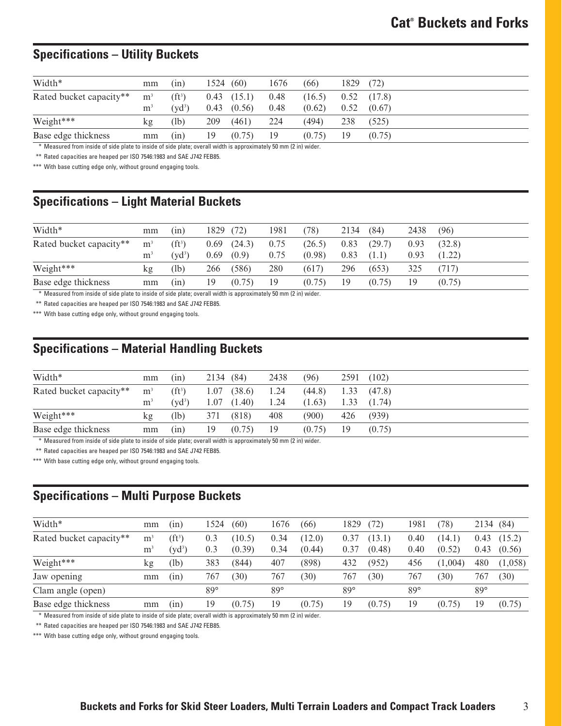# **Specifications – Utility Buckets**

| Width*                  | mm                               | (in)                            | 1524 | (60)                               | 1676         | (66)             | 1829         | (72)             |
|-------------------------|----------------------------------|---------------------------------|------|------------------------------------|--------------|------------------|--------------|------------------|
| Rated bucket capacity** | m <sup>3</sup><br>m <sup>3</sup> | (f t <sup>3</sup> )<br>$(vd^3)$ |      | $0.43$ $(15.1)$<br>$0.43$ $(0.56)$ | 0.48<br>0.48 | (16.5)<br>(0.62) | 0.52<br>0.52 | (17.8)<br>(0.67) |
| Weight***               | kg                               | (lb)                            | 209  | (461)                              | 224          | (494)            | 238          | (525)            |
| Base edge thickness     | mm                               | (in)                            | 19   | (0.75)                             | 19           | (0.75)           | 19           | (0.75)           |

\*\*\* Measured from inside of side plate to inside of side plate; overall width is approximately 50 mm (2 in) wider.

\*\*\* Rated capacities are heaped per ISO 7546:1983 and SAE J742 FEB85.

\*\*\* With base cutting edge only, without ground engaging tools.

# **Specifications – Light Material Buckets**

| Width*                  | mm             | (nn)                | 1829 | 72)    | 1981 | 78)    | 2134 | (84)   | 2438 | (96)   |
|-------------------------|----------------|---------------------|------|--------|------|--------|------|--------|------|--------|
| Rated bucket capacity** | m <sup>3</sup> | (f t <sup>3</sup> ) | 0.69 | (24.3) | 0.75 | (26.5) | 0.83 | (29.7) | 0.93 | (32.8) |
|                         | m <sup>2</sup> | $(yd^3)$            | 0.69 | (0.9)  | 0.75 | (0.98) | 0.83 | (1.1)  | 0.93 | (1.22) |
| Weight***               | kg             | (lb)                | 266  | (586)  | 280  | (617)  | 296  | (653)  | 325  | 717)   |
| Base edge thickness     | mm             | (nn)                | 19   | (0.75) | 19   | (0.75) | 19   | (0.75) | 19   | (0.75) |

\*\*\* Measured from inside of side plate to inside of side plate; overall width is approximately 50 mm (2 in) wider.

\*\*\* Rated capacities are heaped per ISO 7546:1983 and SAE J742 FEB85.

\*\*\* With base cutting edge only, without ground engaging tools.

# **Specifications – Material Handling Buckets**

| Width*                  | mm             | (in)     | 2134 (84) |        | 2438 | (96)   | 2591 | (102)  |
|-------------------------|----------------|----------|-----------|--------|------|--------|------|--------|
| Rated bucket capacity** | m <sup>3</sup> | $(ft^3)$ | 1.07      | (38.6) | 1.24 | (44.8) | 1.33 | (47.8) |
|                         | m <sup>3</sup> | $(vd^3)$ | .07       | (1.40) | 1.24 | (1.63) | 1.33 | (1.74) |
| Weight***               | kg             | (lb)     | 371       | (818)  | 408  | (900)  | 426  | (939)  |
| Base edge thickness     | mm             | (in)     | 19        | (0.75) | 19   | (0.75) | 19   | (0.75) |

\*\*\* Measured from inside of side plate to inside of side plate; overall width is approximately 50 mm (2 in) wider.

\*\*\* Rated capacities are heaped per ISO 7546:1983 and SAE J742 FEB85.

\*\*\* With base cutting edge only, without ground engaging tools.

# **Specifications – Multi Purpose Buckets**

| Width*                  | mm             | (nn)      | 524        | (60)   | 1676       | (66)   | 1829       | (72)   | 1981       | 78)     | 2134       | (84)    |
|-------------------------|----------------|-----------|------------|--------|------------|--------|------------|--------|------------|---------|------------|---------|
| Rated bucket capacity** | m <sup>3</sup> | $(f t^3)$ | 0.3        | (10.5) | 0.34       | (12.0) | 0.37       | (13.1) | 0.40       | (14.1)  | 0.43       | (15.2)  |
|                         | m <sup>3</sup> | $(vd^3)$  | 0.3        | (0.39) | 0.34       | (0.44) | 0.37       | (0.48) | 0.40       | (0.52)  | 0.43       | (0.56)  |
| Weight***               | kg             | (lb)      | 383        | (844)  | 407        | (898)  | 432        | (952)  | 456        | (1,004) | 480        | (1,058) |
| Jaw opening             | mm             | (nn)      | 767        | (30)   | 767        | (30)   | 767        | (30)   | 767        | (30)    | 767        | (30)    |
| Clam angle (open)       |                |           | $89^\circ$ |        | $89^\circ$ |        | $89^\circ$ |        | $89^\circ$ |         | $89^\circ$ |         |
| Base edge thickness     | mm             | (nn)      | 19         | (0.75) | 19         | (0.75) | 19         | (0.75) | 19         | (0.75)  | 19         | (0.75)  |
|                         |                |           |            |        |            |        |            |        |            |         |            |         |

\*\*\* Measured from inside of side plate to inside of side plate; overall width is approximately 50 mm (2 in) wider.

\*\*\* Rated capacities are heaped per ISO 7546:1983 and SAE J742 FEB85.

\*\*\* With base cutting edge only, without ground engaging tools.